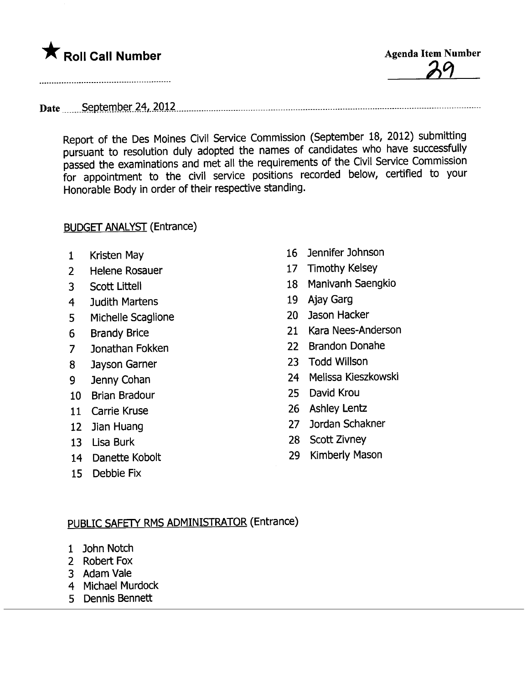

Date September 24, 2012

Report of the Des Moines Civil Service Commission (September 18, 2012) submitting pursuant to resolution duly adopted the names of candidates who have successfully passed the examinations and met all the requirements of the Civil Service Commission for appointment to the civil service positions recorded below, certified to your Honorable Body in order of their respective standing.

## BUDGET ANALYST (Entrance)

- 
- 2 Helene Rosauer 17 Timothy Kelsey
- 
- 4 Judith Martens 19 Ajay Garg
- 5 Michelle Scaglione 20 Jason Hacker
- 
- 7 Jonathan Fokken 22 Brandon Donahe<br>8 Jayson Garner 23 Todd Willson
- 8 Jayson Garner
- 
- 
- 
- 
- 
- 
- 15 Debbie Fix
- <sup>1</sup> Kristen May 16 Jennifer Johnson
	-
- <sup>3</sup> Scott Littell 18 Manivanh Saengkio
	-
	-
- 6 Brandy Brice 21 Kara Nees-Anderson
	-
	-
- 9 Jenny Cohan 24 Melissa Kieszkowski
- 10 Brian Bradour 25 David Krou
- 11 Carrie Kruse 26 Ashley Lentz
- 12 Jian Huang 27 Jordan Schakner
- 13 Lisa Burk 28 Scott Zivney
- 14 Danette Kobolt 29 Kimberly Mason

## PUBLIC SAFETY RMS ADMINISTRATOR (Entrance)

- 1 John Notch
- 2 Robert Fox
- 3 Adam Vale
- 4 Michael Murdock
- 5 Dennis Bennett